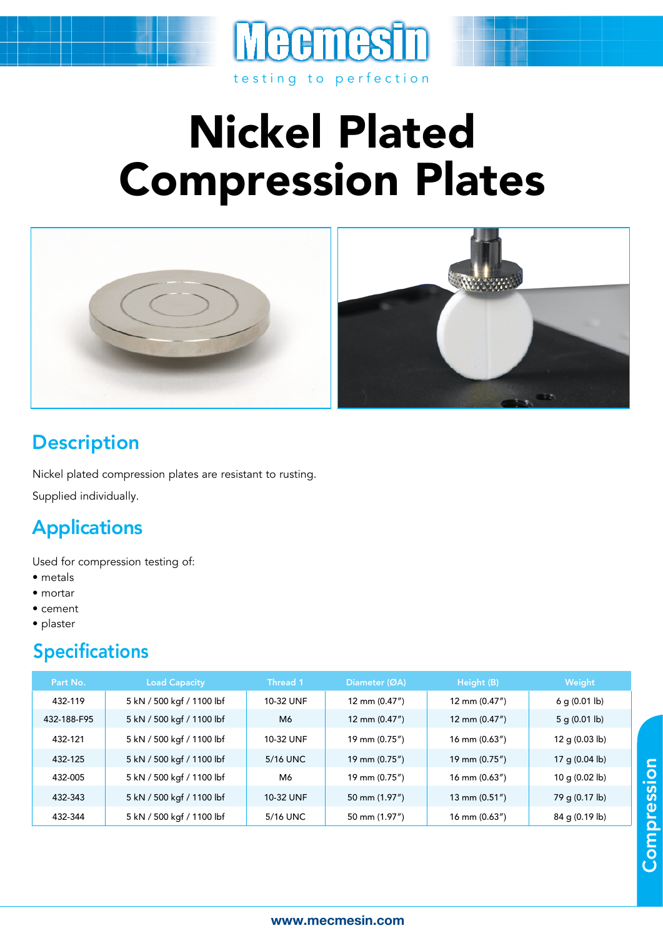

# Nickel Plated Compression Plates



## **Description**

Nickel plated compression plates are resistant to rusting.

Supplied individually.

## **Applications**

Used for compression testing of:

- metals
- mortar
- cement
- plaster

#### Specifications

| Part No.    | <b>Load Capacity</b>      | <b>Thread 1</b> | Diameter (ØA)   | Height (B)         | Weight                   |
|-------------|---------------------------|-----------------|-----------------|--------------------|--------------------------|
| 432-119     | 5 kN / 500 kgf / 1100 lbf | 10-32 UNF       | 12 mm $(0.47")$ | 12 mm (0.47")      | 6 q (0.01 lb)            |
| 432-188-F95 | 5 kN / 500 kgf / 1100 lbf | M6              | 12 mm $(0.47")$ | 12 mm $(0.47")$    | 5q(0.01 lb)              |
| 432-121     | 5 kN / 500 kgf / 1100 lbf | 10-32 UNF       | 19 mm (0.75")   | $16$ mm $(0.63'')$ | 12 g $(0.03 \text{ lb})$ |
| 432-125     | 5 kN / 500 kgf / 1100 lbf | 5/16 UNC        | 19 mm (0.75")   | 19 mm (0.75")      | 17 g $(0.04 \text{ lb})$ |
| 432-005     | 5 kN / 500 kgf / 1100 lbf | M6              | 19 mm (0.75")   | 16 mm $(0.63'')$   | 10 g $(0.02 \text{ lb})$ |
| 432-343     | 5 kN / 500 kgf / 1100 lbf | 10-32 UNF       | 50 mm (1.97")   | 13 mm $(0.51'')$   | 79 g (0.17 lb)           |
| 432-344     | 5 kN / 500 kgf / 1100 lbf | 5/16 UNC        | 50 mm (1.97")   | 16 mm $(0.63'')$   | 84 g (0.19 lb)           |